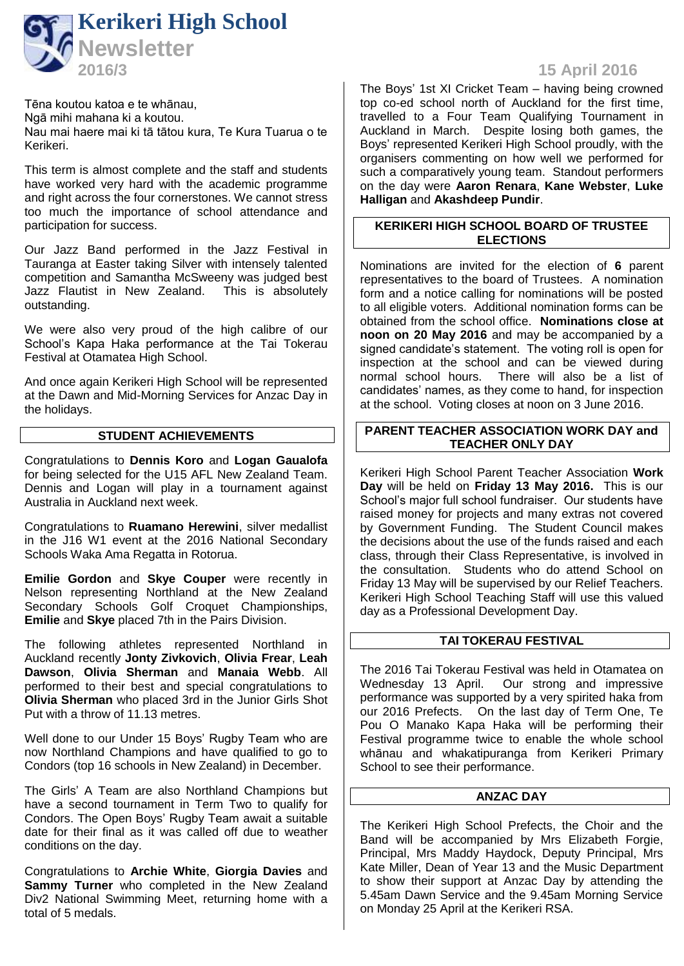

Tēna koutou katoa e te whānau, Ngā mihi mahana ki a koutou. Nau mai haere mai ki tā tātou kura, Te Kura Tuarua o te Kerikeri.

This term is almost complete and the staff and students have worked very hard with the academic programme and right across the four cornerstones. We cannot stress too much the importance of school attendance and participation for success.

Our Jazz Band performed in the Jazz Festival in Tauranga at Easter taking Silver with intensely talented competition and Samantha McSweeny was judged best Jazz Flautist in New Zealand. This is absolutely outstanding.

We were also very proud of the high calibre of our School's Kapa Haka performance at the Tai Tokerau Festival at Otamatea High School.

And once again Kerikeri High School will be represented at the Dawn and Mid-Morning Services for Anzac Day in the holidays.

#### **STUDENT ACHIEVEMENTS**

Congratulations to **Dennis Koro** and **Logan Gaualofa** for being selected for the U15 AFL New Zealand Team. Dennis and Logan will play in a tournament against Australia in Auckland next week.

Congratulations to **Ruamano Herewini**, silver medallist in the J16 W1 event at the 2016 National Secondary Schools Waka Ama Regatta in Rotorua.

**Emilie Gordon** and **Skye Couper** were recently in Nelson representing Northland at the New Zealand Secondary Schools Golf Croquet Championships, **Emilie** and **Skye** placed 7th in the Pairs Division.

The following athletes represented Northland in Auckland recently **Jonty Zivkovich**, **Olivia Frear**, **Leah Dawson**, **Olivia Sherman** and **Manaia Webb**. All performed to their best and special congratulations to **Olivia Sherman** who placed 3rd in the Junior Girls Shot Put with a throw of 11.13 metres.

Well done to our Under 15 Boys' Rugby Team who are now Northland Champions and have qualified to go to Condors (top 16 schools in New Zealand) in December.

The Girls' A Team are also Northland Champions but have a second tournament in Term Two to qualify for Condors. The Open Boys' Rugby Team await a suitable date for their final as it was called off due to weather conditions on the day.

Congratulations to **Archie White**, **Giorgia Davies** and **Sammy Turner** who completed in the New Zealand Div2 National Swimming Meet, returning home with a total of 5 medals.

# **15 April 2016**

The Boys' 1st XI Cricket Team – having being crowned top co-ed school north of Auckland for the first time, travelled to a Four Team Qualifying Tournament in Auckland in March. Despite losing both games, the Boys' represented Kerikeri High School proudly, with the organisers commenting on how well we performed for such a comparatively young team. Standout performers on the day were **Aaron Renara**, **Kane Webster**, **Luke Halligan** and **Akashdeep Pundir**.

# **KERIKERI HIGH SCHOOL BOARD OF TRUSTEE ELECTIONS**

Nominations are invited for the election of **6** parent representatives to the board of Trustees. A nomination form and a notice calling for nominations will be posted to all eligible voters. Additional nomination forms can be obtained from the school office. **Nominations close at noon on 20 May 2016** and may be accompanied by a signed candidate's statement. The voting roll is open for inspection at the school and can be viewed during<br>normal school hours. There will also be a list of There will also be a list of candidates' names, as they come to hand, for inspection at the school. Voting closes at noon on 3 June 2016.

# **PARENT TEACHER ASSOCIATION WORK DAY and TEACHER ONLY DAY**

Kerikeri High School Parent Teacher Association **Work Day** will be held on **Friday 13 May 2016.** This is our School's major full school fundraiser. Our students have raised money for projects and many extras not covered by Government Funding. The Student Council makes the decisions about the use of the funds raised and each class, through their Class Representative, is involved in the consultation. Students who do attend School on Friday 13 May will be supervised by our Relief Teachers. Kerikeri High School Teaching Staff will use this valued day as a Professional Development Day.

# **TAI TOKERAU FESTIVAL**

The 2016 Tai Tokerau Festival was held in Otamatea on Wednesday 13 April. Our strong and impressive performance was supported by a very spirited haka from our 2016 Prefects. On the last day of Term One, Te Pou O Manako Kapa Haka will be performing their Festival programme twice to enable the whole school whānau and whakatipuranga from Kerikeri Primary School to see their performance.

# **ANZAC DAY**

The Kerikeri High School Prefects, the Choir and the Band will be accompanied by Mrs Elizabeth Forgie, Principal, Mrs Maddy Haydock, Deputy Principal, Mrs Kate Miller, Dean of Year 13 and the Music Department to show their support at Anzac Day by attending the 5.45am Dawn Service and the 9.45am Morning Service on Monday 25 April at the Kerikeri RSA.